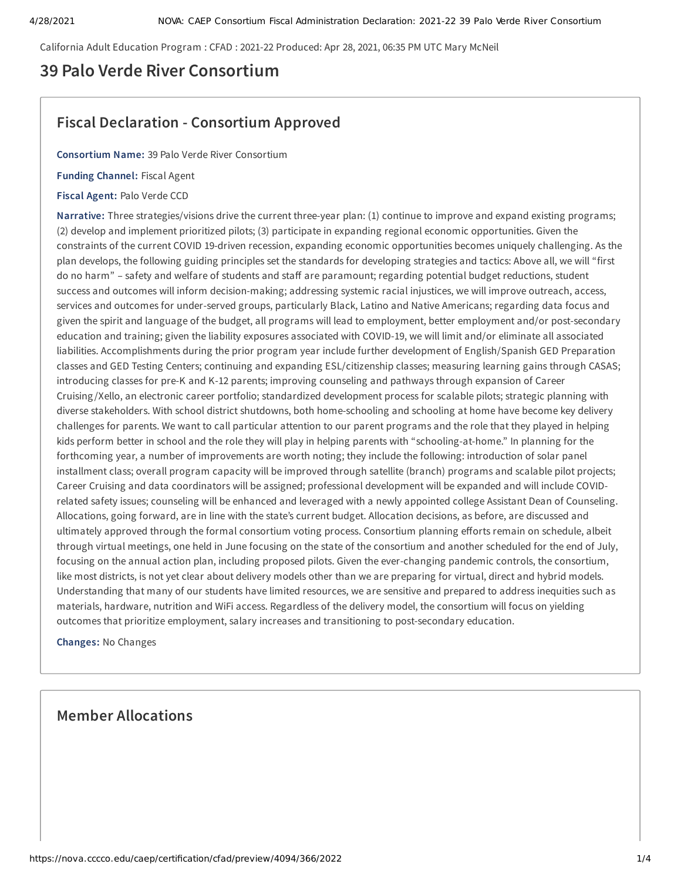California Adult Education Program : CFAD : 2021-22 Produced: Apr 28, 2021, 06:35 PM UTC Mary McNeil

# **39 Palo Verde River Consortium**

# **Fiscal Declaration - Consortium Approved**

**Consortium Name:** 39 Palo Verde River Consortium

**Funding Channel:** Fiscal Agent

**Fiscal Agent:** Palo Verde CCD

**Narrative:** Three strategies/visions drive the current three-year plan: (1) continue to improve and expand existing programs; (2) develop and implement prioritized pilots; (3) participate in expanding regional economic opportunities. Given the constraints of the current COVID 19-driven recession, expanding economic opportunities becomes uniquely challenging. As the plan develops, the following guiding principles set the standards for developing strategies and tactics: Above all, we will "first do no harm" - safety and welfare of students and staff are paramount; regarding potential budget reductions, student success and outcomes will inform decision-making; addressing systemic racial injustices, we will improve outreach, access, services and outcomes for under-served groups, particularly Black, Latino and Native Americans; regarding data focus and given the spirit and language of the budget, all programs will lead to employment, better employment and/or post-secondary education and training; given the liability exposures associated with COVID-19, we will limit and/or eliminate all associated liabilities. Accomplishments during the prior program year include further development of English/Spanish GED Preparation classes and GED Testing Centers; continuing and expanding ESL/citizenship classes; measuring learning gains through CASAS; introducing classes for pre-K and K-12 parents; improving counseling and pathways through expansion of Career Cruising /Xello, an electronic career portfolio; standardized development process for scalable pilots; strategic planning with diverse stakeholders. With school district shutdowns, both home-schooling and schooling at home have become key delivery challenges for parents. We want to call particular attention to our parent programs and the role that they played in helping kids perform better in school and the role they will play in helping parents with "schooling-at-home." In planning for the forthcoming year, a number of improvements are worth noting; they include the following: introduction of solar panel installment class; overall program capacity will be improved through satellite (branch) programs and scalable pilot projects; Career Cruising and data coordinators will be assigned; professional development will be expanded and will include COVIDrelated safety issues; counseling will be enhanced and leveraged with a newly appointed college Assistant Dean of Counseling. Allocations, going forward, are in line with the state's current budget. Allocation decisions, as before, are discussed and ultimately approved through the formal consortium voting process. Consortium planning efforts remain on schedule, albeit through virtual meetings, one held in June focusing on the state of the consortium and another scheduled for the end of July, focusing on the annual action plan, including proposed pilots. Given the ever-changing pandemic controls, the consortium, like most districts, is not yet clear about delivery models other than we are preparing for virtual, direct and hybrid models. Understanding that many of our students have limited resources, we are sensitive and prepared to address inequities such as materials, hardware, nutrition and WiFi access. Regardless of the delivery model, the consortium will focus on yielding outcomes that prioritize employment, salary increases and transitioning to post-secondary education.

**Changes:** No Changes

## **Member Allocations**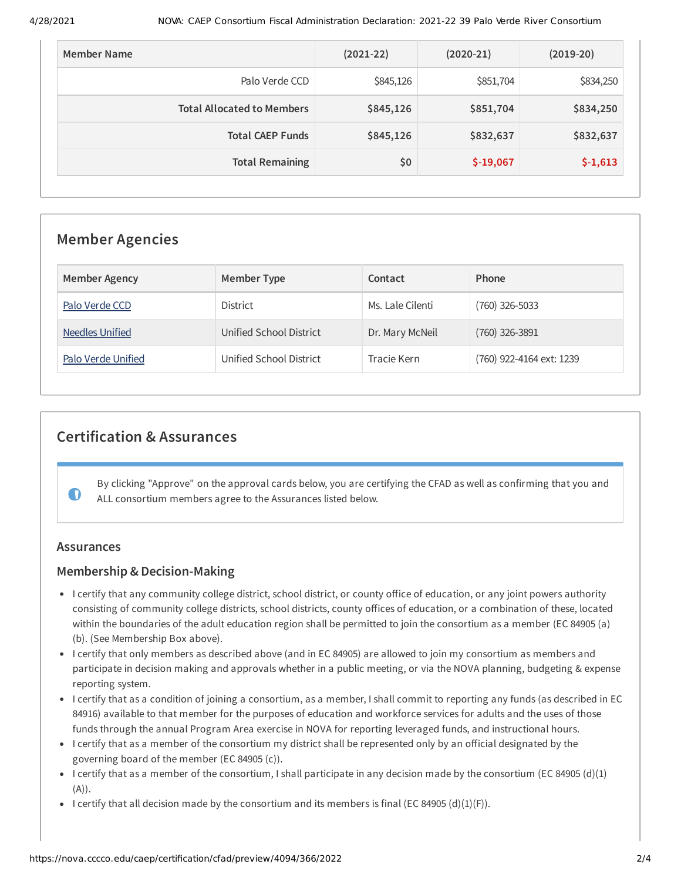| Member Name                       | $(2021-22)$ | $(2020-21)$ | $(2019-20)$ |
|-----------------------------------|-------------|-------------|-------------|
| Palo Verde CCD                    | \$845,126   | \$851,704   | \$834,250   |
| <b>Total Allocated to Members</b> | \$845,126   | \$851,704   | \$834,250   |
| <b>Total CAEP Funds</b>           | \$845,126   | \$832,637   | \$832,637   |
| <b>Total Remaining</b>            | \$0         | $$-19,067$  | $$-1,613$   |

## **Member Agencies**

| <b>Member Agency</b> | Member Type             | Contact          | Phone                    |
|----------------------|-------------------------|------------------|--------------------------|
| Palo Verde CCD       | <b>District</b>         | Ms. Lale Cilenti | (760) 326-5033           |
| Needles Unified      | Unified School District | Dr. Mary McNeil  | (760) 326-3891           |
| Palo Verde Unified   | Unified School District | Tracie Kern      | (760) 922-4164 ext: 1239 |

# **Certification & Assurances**

By clicking "Approve" on the approval cards below, you are certifying the CFAD as well as confirming that you and ALL consortium members agree to the Assurances listed below.

### **Assurances**

 $\bullet$ 

### **Membership & Decision-Making**

- I certify that any community college district, school district, or county office of education, or any joint powers authority consisting of community college districts, school districts, county offices of education, or a combination of these, located within the boundaries of the adult education region shall be permitted to join the consortium as a member (EC 84905 (a) (b). (See Membership Box above).
- I certify that only members as described above (and in EC 84905) are allowed to join my consortium as members and participate in decision making and approvals whether in a public meeting, or via the NOVA planning, budgeting & expense reporting system.
- I certify that as a condition of joining a consortium, as a member, I shall commit to reporting any funds (as described in EC 84916) available to that member for the purposes of education and workforce services for adults and the uses of those funds through the annual Program Area exercise in NOVA for reporting leveraged funds, and instructional hours.
- I certify that as a member of the consortium my district shall be represented only by an official designated by the governing board of the member (EC 84905 (c)).
- I certify that as a member of the consortium, I shall participate in any decision made by the consortium (EC 84905 (d)(1)  $(A)).$
- I certify that all decision made by the consortium and its members is final (EC 84905 (d)(1)(F)).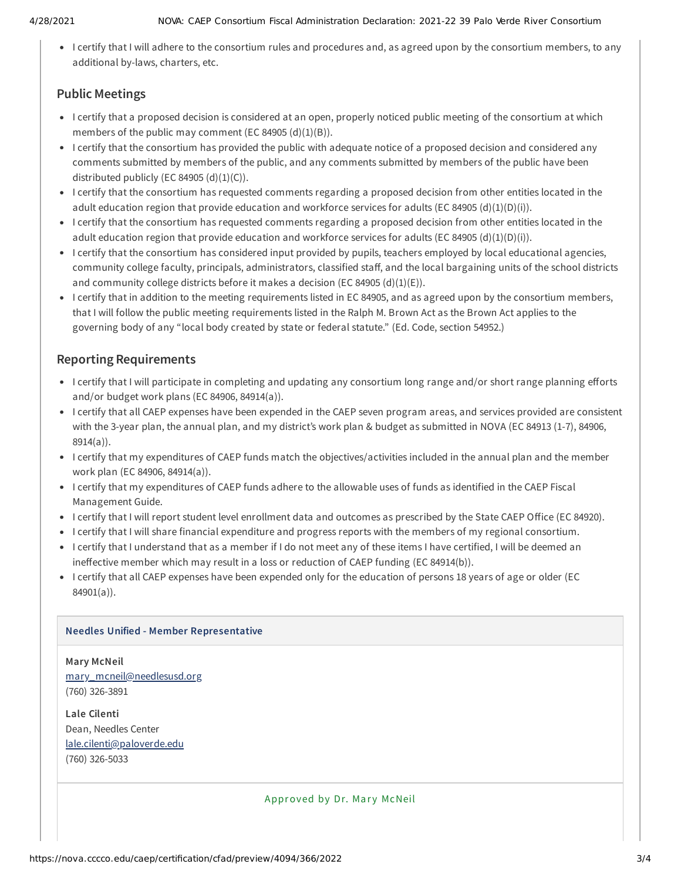I certify that I will adhere to the consortium rules and procedures and, as agreed upon by the consortium members, to any additional by-laws, charters, etc.

### **Public Meetings**

- I certify that a proposed decision is considered at an open, properly noticed public meeting of the consortium at which members of the public may comment (EC 84905  $(d)(1)(B)$ ).
- I certify that the consortium has provided the public with adequate notice of a proposed decision and considered any comments submitted by members of the public, and any comments submitted by members of the public have been distributed publicly (EC 84905  $(d)(1)(C)$ ).
- I certify that the consortium has requested comments regarding a proposed decision from other entities located in the adult education region that provide education and workforce services for adults (EC 84905 (d)(1)(D)(i)).
- I certify that the consortium has requested comments regarding a proposed decision from other entities located in the adult education region that provide education and workforce services for adults (EC 84905 (d)(1)(D)(i)).
- I certify that the consortium has considered input provided by pupils, teachers employed by local educational agencies, community college faculty, principals, administrators, classified staff, and the local bargaining units of the school districts and community college districts before it makes a decision (EC 84905 (d)(1)(E)).
- I certify that in addition to the meeting requirements listed in EC 84905, and as agreed upon by the consortium members, that I will follow the public meeting requirements listed in the Ralph M. Brown Act as the Brown Act applies to the governing body of any "local body created by state or federal statute." (Ed. Code, section 54952.)

### **Reporting Requirements**

- I certify that I will participate in completing and updating any consortium long range and/or short range planning efforts and/or budget work plans (EC 84906, 84914(a)).
- I certify that all CAEP expenses have been expended in the CAEP seven program areas, and services provided are consistent with the 3-year plan, the annual plan, and my district's work plan & budget as submitted in NOVA (EC 84913 (1-7), 84906, 8914(a)).
- I certify that my expenditures of CAEP funds match the objectives/activities included in the annual plan and the member work plan (EC 84906, 84914(a)).
- I certify that my expenditures of CAEP funds adhere to the allowable uses of funds as identified in the CAEP Fiscal Management Guide.
- I certify that I will report student level enrollment data and outcomes as prescribed by the State CAEP Office (EC 84920).
- I certify that I will share financial expenditure and progress reports with the members of my regional consortium.
- I certify that I understand that as a member if I do not meet any of these items I have certified, I will be deemed an ineffective member which may result in a loss or reduction of CAEP funding (EC 84914(b)).
- I certify that all CAEP expenses have been expended only for the education of persons 18 years of age or older (EC 84901(a)).

### **Needles Unified - Member Representative**

**Mary McNeil** [mary\\_mcneil@needlesusd.org](mailto:mary_mcneil@needlesusd.org) (760) 326-3891

**Lale Cilenti** Dean, Needles Center [lale.cilenti@paloverde.edu](mailto:lale.cilenti@paloverde.edu) (760) 326-5033

Approved by Dr. Mary McNeil